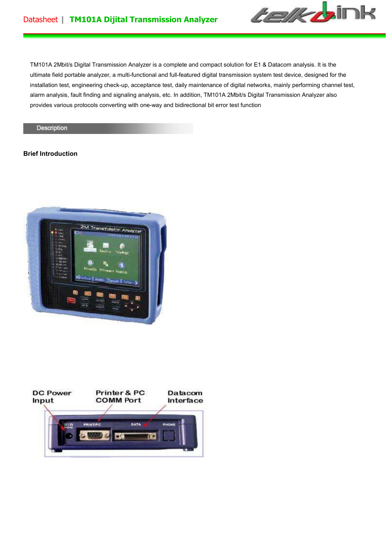

TM101A 2Mbit/s Digital Transmission Analyzer is a complete and compact solution for E1 & Datacom analysis. It is the ultimate field portable analyzer, a multi-functional and full-featured digital transmission system test device, designed for the installation test, engineering check-up, acceptance test, daily maintenance of digital networks, mainly performing channel test, alarm analysis, fault finding and signaling analysis, etc. In addition, TM101A 2Mbit/s Digital Transmission Analyzer also provides various protocols converting with one-way and bidirectional bit error test function

#### Description

# **Brief Introduction**



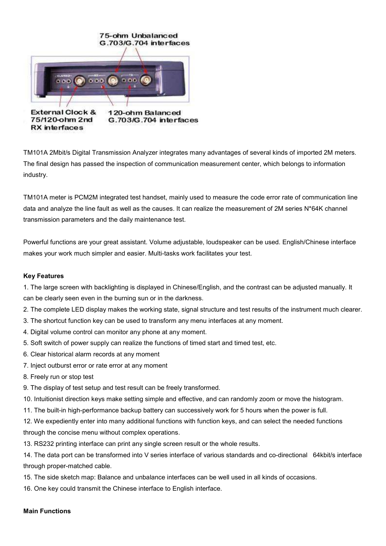

TM101A 2Mbit/s Digital Transmission Analyzer integrates many advantages of several kinds of imported 2M meters. The final design has passed the inspection of communication measurement center, which belongs to information industry.

TM101A meter is PCM2M integrated test handset, mainly used to measure the code error rate of communication line data and analyze the line fault as well as the causes. It can realize the measurement of 2M series N\*64K channel transmission parameters and the daily maintenance test.

Powerful functions are your great assistant. Volume adjustable, loudspeaker can be used. English/Chinese interface makes your work much simpler and easier. Multi-tasks work facilitates your test.

# **Key Features**

1. The large screen with backlighting is displayed in Chinese/English, and the contrast can be adjusted manually. It can be clearly seen even in the burning sun or in the darkness.

- 2. The complete LED display makes the working state, signal structure and test results of the instrument much clearer.
- 3. The shortcut function key can be used to transform any menu interfaces at any moment.
- 4. Digital volume control can monitor any phone at any moment.
- 5. Soft switch of power supply can realize the functions of timed start and timed test, etc.
- 6. Clear historical alarm records at any moment
- 7. Inject outburst error or rate error at any moment
- 8. Freely run or stop test
- 9. The display of test setup and test result can be freely transformed.
- 10. Intuitionist direction keys make setting simple and effective, and can randomly zoom or move the histogram.
- 11. The built-in high-performance backup battery can successively work for 5 hours when the power is full.
- 12. We expediently enter into many additional functions with function keys, and can select the needed functions through the concise menu without complex operations.
- 13. RS232 printing interface can print any single screen result or the whole results.

14. The data port can be transformed into V series interface of various standards and co-directional 64kbit/s interface through proper-matched cable.

- 15. The side sketch map: Balance and unbalance interfaces can be well used in all kinds of occasions.
- 16. One key could transmit the Chinese interface to English interface.

## **Main Functions**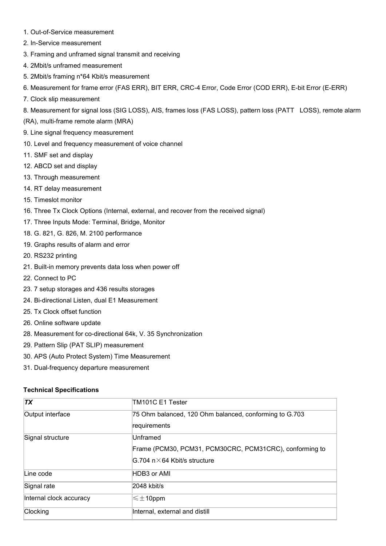- 1. Out-of-Service measurement
- 2. In-Service measurement
- 3. Framing and unframed signal transmit and receiving
- 4. 2Mbit/s unframed measurement
- 5. 2Mbit/s framing n\*64 Kbit/s measurement
- 6. Measurement for frame error (FAS ERR), BIT ERR, CRC-4 Error, Code Error (COD ERR), E-bit Error (E-ERR)
- 7. Clock slip measurement
- 8. Measurement for signal loss (SIG LOSS), AIS, frames loss (FAS LOSS), pattern loss (PATT LOSS), remote alarm
- (RA), multi-frame remote alarm (MRA)
- 9. Line signal frequency measurement
- 10. Level and frequency measurement of voice channel
- 11. SMF set and display
- 12. ABCD set and display
- 13. Through measurement
- 14. RT delay measurement
- 15. Timeslot monitor
- 16. Three Tx Clock Options (Internal, external, and recover from the received signal)
- 17. Three Inputs Mode: Terminal, Bridge, Monitor
- 18. G. 821, G. 826, M. 2100 performance
- 19. Graphs results of alarm and error
- 20. RS232 printing
- 21. Built-in memory prevents data loss when power off
- 22. Connect to PC
- 23. 7 setup storages and 436 results storages
- 24. Bi-directional Listen, dual E1 Measurement
- 25. Tx Clock offset function
- 26. Online software update
- 28. Measurement for co-directional 64k, V. 35 Synchronization
- 29. Pattern Slip (PAT SLIP) measurement
- 30. APS (Auto Protect System) Time Measurement
- 31. Dual-frequency departure measurement

## **Technical Specifications**

| <b>TX</b>               | TM101C E1 Tester                                                                                             |
|-------------------------|--------------------------------------------------------------------------------------------------------------|
| Output interface        | 75 Ohm balanced, 120 Ohm balanced, conforming to G.703<br>requirements                                       |
| Signal structure        | Unframed<br>Frame (PCM30, PCM31, PCM30CRC, PCM31CRC), conforming to<br>$ G.704 n \times 64$ Kbit/s structure |
| Line code               | HDB3 or AMI                                                                                                  |
| Signal rate             | 2048 kbit/s                                                                                                  |
| Internal clock accuracy | $\leq \pm$ 10ppm                                                                                             |
| Clocking                | Internal, external and distill                                                                               |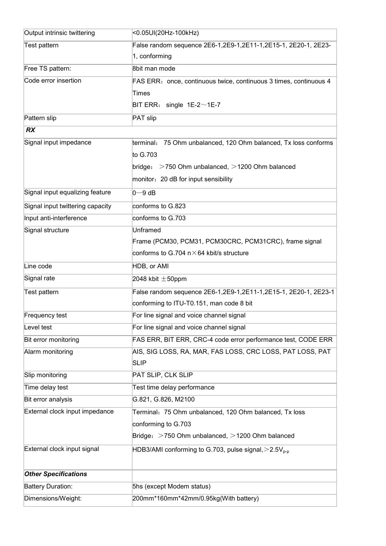| Output intrinsic twittering      | <0.05UI(20Hz-100kHz)                                                     |
|----------------------------------|--------------------------------------------------------------------------|
| Test pattern                     | False random sequence 2E6-1,2E9-1,2E11-1,2E15-1, 2E20-1, 2E23-           |
|                                  | 1, conforming                                                            |
| Free TS pattern:                 | 8bit man mode                                                            |
| Code error insertion             | FAS ERR: once, continuous twice, continuous 3 times, continuous 4        |
|                                  | Times                                                                    |
|                                  | BIT ERR: single $1E-2 \sim 1E-7$                                         |
| Pattern slip                     | PAT slip                                                                 |
| <b>RX</b>                        |                                                                          |
| Signal input impedance           | terminal: 75 Ohm unbalanced, 120 Ohm balanced, Tx loss conforms          |
|                                  | to G.703                                                                 |
|                                  | bridge: $>750$ Ohm unbalanced, $>1200$ Ohm balanced                      |
|                                  | monitor: 20 dB for input sensibility                                     |
| Signal input equalizing feature  | $0 - 9$ dB                                                               |
| Signal input twittering capacity | conforms to G.823                                                        |
| Input anti-interference          | conforms to G.703                                                        |
| Signal structure                 | <b>Unframed</b>                                                          |
|                                  | Frame (PCM30, PCM31, PCM30CRC, PCM31CRC), frame signal                   |
|                                  | conforms to G.704 $n \times 64$ kbit/s structure                         |
| Line code                        | HDB, or AMI                                                              |
| Signal rate                      | 2048 kbit $\pm$ 50ppm                                                    |
| Test pattern                     | False random sequence 2E6-1,2E9-1,2E11-1,2E15-1, 2E20-1, 2E23-1          |
|                                  | conforming to ITU-T0.151, man code 8 bit                                 |
| <b>Frequency test</b>            | For line signal and voice channel signal                                 |
| Level test                       | For line signal and voice channel signal                                 |
| Bit error monitoring             | FAS ERR, BIT ERR, CRC-4 code error performance test, CODE ERR            |
| Alarm monitoring                 | AIS, SIG LOSS, RA, MAR, FAS LOSS, CRC LOSS, PAT LOSS, PAT<br><b>SLIP</b> |
| Slip monitoring                  | PAT SLIP, CLK SLIP                                                       |
| Time delay test                  | Test time delay performance                                              |
| Bit error analysis               | G.821, G.826, M2100                                                      |
| External clock input impedance   | Terminal: 75 Ohm unbalanced, 120 Ohm balanced, Tx loss                   |
|                                  | conforming to G.703                                                      |
|                                  | Bridge: >750 Ohm unbalanced, >1200 Ohm balanced                          |
| External clock input signal      | HDB3/AMI conforming to G.703, pulse signal, $>$ 2.5V <sub>p-p</sub>      |
|                                  |                                                                          |
| <b>Other Specifications</b>      |                                                                          |
| <b>Battery Duration:</b>         | 5hs (except Modem status)                                                |
| Dimensions/Weight:               | 200mm*160mm*42mm/0.95kg(With battery)                                    |